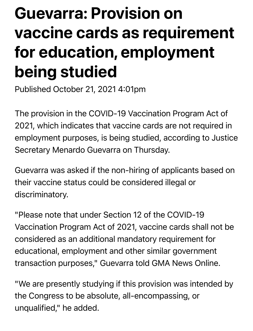## Guevarra: Provision on vaccine cards as requirement for education, employment being studied

Published October 21, 2021 4:01pm

The provision in the COVID-19 Vaccination Program Act of 2021, which indicates that vaccine cards are not required in employment purposes, is being studied, according to Justice Secretary Menardo Guevarra on Thursday.

Guevarra was asked if the non-hiring of applicants based on their vaccine status could be considered illegal or discriminatory.

"Please note that under Section 12 of the COVID-19 Vaccination Program Act of 2021, vaccine cards shall not be considered as an additional mandatory requirement for educational, employment and other similar government transaction purposes," Guevarra told GMA News Online.

"We are presently studying if this provision was intended by the Congress to be absolute, all-encompassing, or unqualified," he added.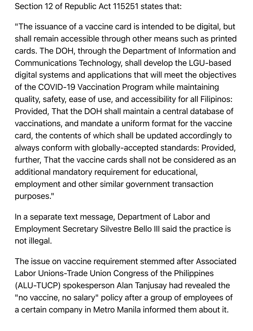Section 12 of Republic Act 115251 states that:

"The issuance of a vaccine card is intended to be digital, but shall remain accessible through other means such as printed cards. The DOH, through the Department of Information and Communications Technology, shall develop the LGU-based digital systems and applications that will meet the objectives of the COVID-19 Vaccination Program while maintaining quality, safety, ease of use, and accessibility for all Filipinos: Provided, That the DOH shall maintain a central database of vaccinations, and mandate a uniform format for the vaccine card, the contents of which shall be updated accordingly to always conform with globally-accepted standards: Provided, further, That the vaccine cards shall not be considered as an additional mandatory requirement for educational, employment and other similar government transaction purposes."

In a separate text message, Department of Labor and Employment Secretary Silvestre Bello III said the practice is not illegal.

The issue on vaccine requirement stemmed after Associated Labor Unions-Trade Union Congress of the Philippines (ALU-TUCP) spokesperson Alan Tanjusay had revealed the "no vaccine, no salary" policy after a group of employees of a certain company in Metro Manila informed them about it.